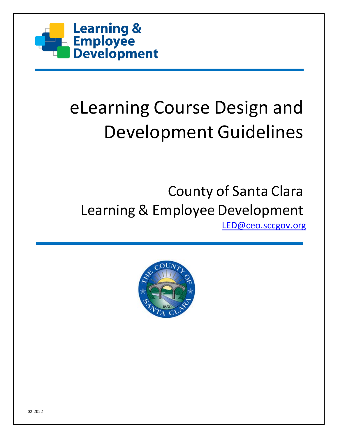

# eLearning Course Design and Development Guidelines

# County of Santa Clara Learning & Employee Development [LED@ceo.sccgov.org](mailto:LED@ceo.sccgov.org)

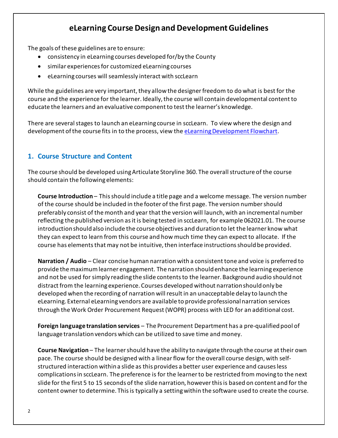# **eLearning Course Design and DevelopmentGuidelines**

The goals of these guidelines are to ensure:

- consistency in eLearning courses developed for/by the County
- similar experiences for customized eLearning courses
- eLearning courses will seamlessly interact with sccLearn

While the guidelines are very important, they allow the designer freedom to do what is best for the course and the experience for the learner. Ideally, the course will contain developmental content to educate the learners and an evaluative component to test the learner's knowledge.

There are several stages to launch an eLearning course in sccLearn. To view where the design and development of the course fits in to the process, view the [eLearning Development Flowchart.](https://files.sccgov.org/bc-entlearningdocs/eLearning/eLearningDevelopmentFlowchart.pdf)

# **1. Course Structure and Content**

The course should be developed using Articulate Storyline 360. The overall structure of the course should contain the following elements:

**Course Introduction** – This should include a title page and a welcome message. The version number of the course should be included in the footer of the first page. The version number should preferably consist of the month and year that the version will launch, with an incremental number reflecting the published version as it is being tested in sccLearn, for example 062021.01. The course introduction should also include the course objectives and duration to let the learner know what they can expect to learn from this course and how much time they can expect to allocate. If the course has elements that may not be intuitive, then interface instructions should be provided.

**Narration / Audio** – Clear concise human narration with a consistent tone and voice is preferred to provide the maximum learner engagement. The narration should enhance the learning experience and not be used for simply reading the slide contents to the learner. Background audio should not distract from the learning experience. Courses developed without narration should only be developed when the recording of narration will result in an unacceptable delay to launch the eLearning. External eLearning vendors are available to provide professional narration services through the Work Order Procurement Request (WOPR) process with LED for an additional cost.

**Foreign language translation services** – The Procurement Department has a pre-qualified pool of language translation vendors which can be utilized to save time and money.

**Course Navigation** – The learner should have the ability to navigate through the course at their own pace. The course should be designed with a linear flow for the overall course design, with selfstructured interaction within a slide as this provides a better user experience and causes less complications in sccLearn. The preference is for the learner to be restricted from moving to the next slide for the first 5 to 15 seconds of the slide narration, however this is based on content and for the content owner to determine. This is typically a setting within the software used to create the course.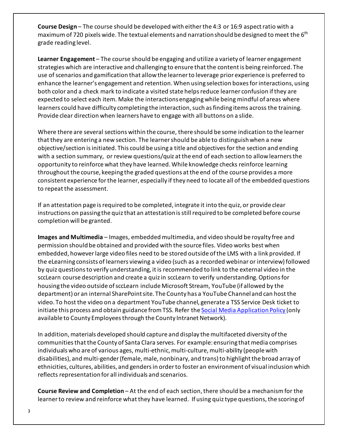**Course Design** – The course should be developed with either the 4:3 or 16:9 aspect ratio with a maximum of 720 pixels wide. The textual elements and narration should be designed to meet the  $6<sup>th</sup>$ grade reading level.

**Learner Engagement** – The course should be engaging and utilize a variety of learner engagement strategies which are interactive and challenging to ensure that the content is being reinforced. The use of scenarios and gamification that allow the learner to leverage prior experience is preferred to enhance the learner's engagement and retention. When using selection boxes for interactions, using both color and a check mark to indicate a visited state helps reduce learner confusion if they are expected to select each item. Make the interactions engaging while being mindful of areas where learners could have difficulty completing the interaction, such as finding items across the training. Provide clear direction when learners have to engage with all buttons on a slide.

Where there are several sections within the course, there should be some indication to the learner that they are entering a new section. The learner should be able to distinguish when a new objective/section is initiated. This could be using a title and objectives for the section and ending with a section summary, or review questions/quiz at the end of each section to allow learners the opportunity to reinforce what they have learned. While knowledge checks reinforce learning throughout the course, keeping the graded questions at the end of the course provides a more consistent experience for the learner, especially if they need to locate all of the embedded questions to repeat the assessment.

If an attestation page is required to be completed, integrate it into the quiz, or provide clear instructions on passing the quiz that an attestation is still required to be completed before course completion will be granted.

**Images and Multimedia** – Images, embedded multimedia, and video should be royalty free and permission should be obtained and provided with the source files. Video works best when embedded, however large video files need to be stored outside of the LMS with a link provided. If the eLearning consists of learners viewing a video (such as a recorded webinar or interview) followed by quiz questions to verify understanding, it is recommended to link to the external video in the sccLearn course description and create a quiz in sccLearn to verify understanding. Options for housing the video outside of sccLearn include Microsoft Stream, YouTube (if allowed by the department) or an internal SharePoint site. The County has a YouTube Channel and can host the video. To host the video on a department YouTube channel, generate a TSS Service Desk ticket to initiate this process and obtain guidance from TSS. Refer the [Social Media Application Policy \(](https://connect.sccgov.org/sites/policies/policypages/Pages/Social-Media-Application-Policy.aspx)only available to County Employees through the County Intranet Network).

In addition, materials developed should capture and display the multifaceted diversity of the communities that the County of Santa Clara serves. For example: ensuring that media comprises individuals who are of various ages, multi-ethnic, multi-culture, multi-ability (people with disabilities), and multi-gender (female, male, nonbinary, and trans) to highlight the broad array of ethnicities, cultures, abilities, and genders in order to foster an environment of visual inclusion which reflects representation for all individuals and scenarios.

**Course Review and Completion** – At the end of each section, there should be a mechanismfor the learner to review and reinforce what they have learned. If using quiz type questions, the scoring of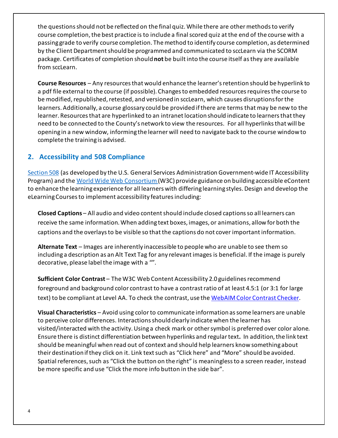the questions should not be reflected on the final quiz. While there are other methods to verify course completion, the best practice is to include a final scored quiz at the end of the course with a passing grade to verify course completion. The method to identify course completion, as determined by the Client Department should be programmed and communicated to sccLearn via the SCORM package. Certificates of completion should **not** be built into the course itself as they are available from sccLearn.

**Course Resources** – Any resources that would enhance the learner's retention should be hyperlink to a pdf file external to the course (if possible). Changes to embedded resourcesrequiresthe course to be modified, republished, retested, and versioned in sccLearn, which causes disruptions for the learners. Additionally, a course glossary could be provided if there are terms that may be new to the learner. Resources that are hyperlinked to an intranet location should indicate to learners that they need to be connected to the County's network to view the resources. For all hyperlinksthat will be opening in a new window, informing the learner will need to navigate back to the course window to complete the training is advised.

### **2. Accessibility and 508 Compliance**

[Section 508](https://www.section508.gov/) (as developed by the U.S. General Services Administration Government-wide IT Accessibility Program) and the World Wide Web Consortium (W3C) provide guidance on building accessible eContent to enhance the learning experience for all learners with differing learning styles. Design and develop the eLearning Courses to implement accessibility features including:

**Closed Captions** – All audio and video contentshould include closed captions so all learners can receive the same information. When adding text boxes, images, or animations, allow for both the captions and the overlays to be visible so that the captions do not cover important information.

**Alternate Text** – Images are inherently inaccessible to people who are unable to see them so including a description as an Alt Text Tag for any relevant images is beneficial. If the image is purely decorative, please label the image with a "".

**Sufficient Color Contrast** – The W3C Web Content Accessibility 2.0 guidelines recommend foreground and background color contrast to have a contrast ratio of at least 4.5:1 (or 3:1 for large text) to be compliant at Level AA. To check the contrast, use the [WebAIM Color Contrast Checker.](http://webaim.org/resources/contrastchecker/)

**Visual Characteristics** – Avoid using color to communicate information as some learners are unable to perceive color differences. Interactions should clearly indicate when the learner has visited/interacted with the activity. Using a check mark or other symbol is preferred over color alone. Ensure there is distinct differentiation between hyperlinks and regular text**.** In addition, the link text should be meaningful when read out of context and should help learners know something about their destination if they click on it. Link text such as "Click here" and "More" should be avoided. Spatial references, such as "Click the button on the right" is meaningless to a screen reader, instead be more specific and use "Click the more info button in the side bar".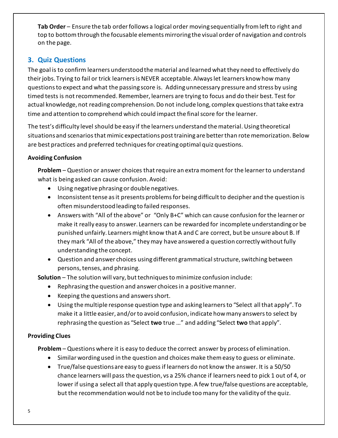**Tab Order** – Ensure the tab order follows a logical order moving sequentially from left to right and top to bottom through the focusable elements mirroring the visual order of navigation and controls on the page.

## **3. Quiz Questions**

The goal is to confirm learners understood the material and learned what they need to effectively do their jobs. Trying to fail or trick learners is NEVER acceptable. Always let learners know how many questions to expect and what the passing score is. Adding unnecessary pressure and stress by using timed tests is not recommended. Remember, learners are trying to focus and do their best. Test for actual knowledge, not reading comprehension. Do not include long, complex questions that take extra time and attention to comprehend which could impact the final score for the learner.

The test's difficulty level should be easy if the learners understand the material. Using theoretical situations and scenarios that mimic expectations post training are better than rote memorization. Below are best practices and preferred techniques for creating optimal quiz questions.

#### **Avoiding Confusion**

**Problem** – Question or answer choices that require an extra moment for the learner to understand what is being asked can cause confusion. Avoid:

- Using negative phrasingor double negatives.
- Inconsistent tense as it presents problemsfor being difficult to decipher and the question is often misunderstoodleading to failed responses.
- Answers with "All of the above" or "Only B+C" which can cause confusion for the learner or make it really easy to answer. Learners can be rewarded for incomplete understanding or be punished unfairly. Learners might know that A and C are correct, but be unsure about B. If they mark "All of the above," they may have answered a question correctly without fully understanding the concept.
- Question and answer choices using different grammatical structure, switching between persons, tenses, and phrasing.

**Solution** – The solution will vary, but techniques to minimize confusion include:

- Rephrasing the question and answer choices in a positive manner.
- Keeping the questions and answers short.
- Using the multiple response question type and asking learnersto "Select all that apply". To make it a little easier, and/or to avoid confusion, indicate how many answers to select by rephrasing the question as "Select **two** true …" and adding "Select **two** that apply".

#### **Providing Clues**

**Problem** – Questions where it is easy to deduce the correct answer by process of elimination.

- Similar wording used in the question and choices make them easy to guess or eliminate.
- True/false questions are easy to guess if learners do not know the answer. It is a 50/50 chance learners will pass the question, vs a 25% chance if learners need to pick 1 out of 4, or lower if using a select all that apply question type. A few true/false questions are acceptable, but the recommendation would not be to include too many for the validity of the quiz.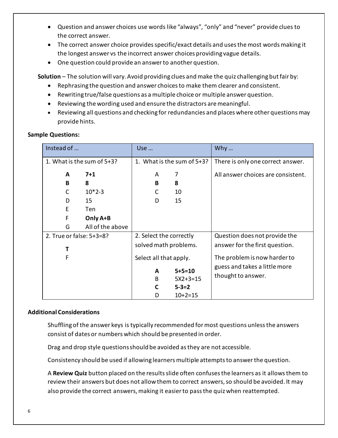- Question and answer choices use words like "always", "only" and "never" provide clues to the correct answer.
- The correct answer choice provides specific/exact details and uses the most words making it the longest answer vs the incorrect answer choices providing vague details.
- One question could provide an answer to another question.

**Solution** – The solution will vary. Avoid providing clues and make the quiz challenging butfair by:

- Rephrasing the question and answer choices to make them clearer and consistent.
- Rewriting true/false questions as a multiple choice or multiple answer question.
- Reviewing the wording used and ensure the distractors are meaningful.
- Reviewing all questions and checking for redundancies and places where other questions may provide hints.

#### **Sample Questions:**

| Instead of                 |                  | Use                        |                                           | Why $\ldots$                                        |
|----------------------------|------------------|----------------------------|-------------------------------------------|-----------------------------------------------------|
| 1. What is the sum of 5+3? |                  | 1. What is the sum of 5+3? |                                           | There is only one correct answer.                   |
| A                          | $7 + 1$          | A                          | 7                                         | All answer choices are consistent.                  |
| В                          | 8                | B                          | 8                                         |                                                     |
| C                          | $10*2-3$         | C                          | 10                                        |                                                     |
| D                          | 15               | D                          | 15                                        |                                                     |
| E                          | Ten              |                            |                                           |                                                     |
| F                          | Only A+B         |                            |                                           |                                                     |
| G                          | All of the above |                            |                                           |                                                     |
| 2. True or false: 5+3=8?   |                  | 2. Select the correctly    |                                           | Question does not provide the                       |
| т                          |                  | solved math problems.      |                                           | answer for the first question.                      |
| F                          |                  | Select all that apply.     |                                           | The problem is now harder to                        |
|                            |                  | A<br>B<br>C                | $5 + 5 = 10$<br>$5X2+3=15$<br>$5 - 3 = 2$ | guess and takes a little more<br>thought to answer. |
|                            |                  | D                          | $10+2=15$                                 |                                                     |

#### **Additional Considerations**

Shuffling of the answer keys is typically recommended for most questions unless the answers consist of dates or numbers which should be presented in order.

Drag and drop style questions should be avoided as they are not accessible.

Consistency should be used if allowing learners multiple attempts to answer the question.

A **Review Quiz** button placed on the results slide often confuses the learners as it allows them to review their answers but does not allow them to correct answers, so should be avoided. It may also provide the correct answers, making it easier to pass the quiz when reattempted.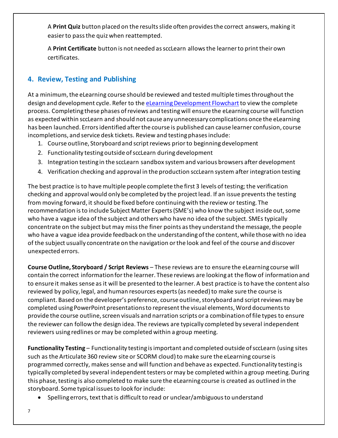A **Print Quiz** button placed on the results slide often provides the correct answers, making it easier to pass the quiz when reattempted.

A **Print Certificate** button is not needed as sccLearn allows the learner to print their own certificates.

# **4. Review, Testing and Publishing**

At a minimum, the eLearning course should be reviewed and tested multiple times throughout the design and development cycle. Refer to th[e eLearning Development Flowchart](https://files.sccgov.org/bc-entlearningdocs/eLearning/eLearningDevelopmentFlowchart.pdf) to view the complete process. Completing these phases of reviews and testing will ensure the eLearning course will function as expected within sccLearn and should not cause any unnecessary complications once the eLearning has been launched. Errors identified after the course is published can cause learner confusion, course incompletions, and service desk tickets. Review and testing phases include:

- 1. Course outline, Storyboard and script reviews prior to beginning development
- 2. Functionality testingoutside of sccLearn during development
- 3. Integration testing in the sccLearn sandbox systemand various browsers after development
- 4. Verification checking and approval in the production sccLearn system after integration testing

The best practice is to have multiple people complete the first 3 levels of testing; the verification checking and approval would only be completed by the project lead. If an issue prevents the testing from moving forward, it should be fixed before continuing with the review or testing. The recommendation is to include Subject Matter Experts (SME's) who know the subject inside out, some who have a vague idea of the subject and others who have no idea of the subject. SMEs typically concentrate on the subject but may miss the finer points as they understand the message, the people who have a vague idea provide feedback on the understanding of the content, while those with no idea of the subject usually concentrate on the navigation or the look and feel of the course and discover unexpected errors.

**Course Outline, Storyboard / Script Reviews** – These reviews are to ensure the eLearning course will contain the correct information for the learner. These reviews are looking at the flow of information and to ensure it makes sense as it will be presented to the learner. A best practice is to have the content also reviewed by policy, legal, and human resources experts (as needed) to make sure the course is compliant. Based on the developer's preference, course outline, storyboard and script reviews may be completed using PowerPoint presentations to represent the visual elements, Word documents to provide the course outline, screen visuals and narration scripts or a combination of file types to ensure the reviewer can follow the design idea. The reviews are typically completed by several independent reviewers using redlines or may be completed within a group meeting.

**Functionality Testing** – Functionality testing is important and completed outside of sccLearn (using sites such as the Articulate 360 review site or SCORM cloud) to make sure the eLearning course is programmed correctly, makes sense and will function and behave as expected. Functionality testing is typically completed by several independent testers or may be completed within a group meeting. During this phase, testing is also completed to make sure the eLearning course is created as outlined in the storyboard. Some typical issuesto look for include:

• Spelling errors, text that is difficult to read or unclear/ambiguous to understand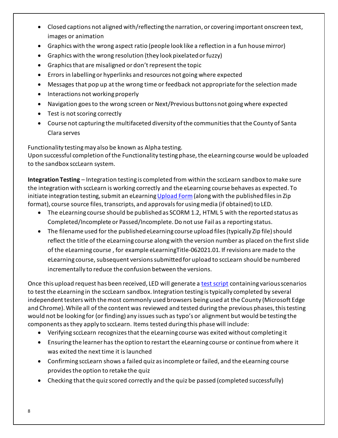- Closed captions not aligned with/reflecting the narration, or covering important onscreen text, images or animation
- Graphics with the wrong aspect ratio (people look like a reflection in a fun house mirror)
- Graphics with the wrong resolution (they look pixelated or fuzzy)
- Graphics that are misaligned or don't represent the topic
- Errors in labellingor hyperlinks and resources not going where expected
- Messages that pop up at the wrong time or feedback not appropriate for the selection made
- Interactions not working properly
- Navigation goes to the wrong screen or Next/Previous buttons not going where expected
- Test is not scoring correctly
- Course not capturing the multifaceted diversity of the communities that the County of Santa Clara serves

Functionality testing may also be known as Alpha testing.

Upon successful completion of the Functionality testing phase, the eLearning course would be uploaded to the sandbox sccLearn system.

**Integration Testing** – Integration testing is completed from within the sccLearn sandbox to make sure the integration with sccLearn is working correctly and the eLearning course behaves as expected. To initiate integration testing, submit an eLearnin[g Upload Form](https://files.sccgov.org/bc-entlearningdocs/eLearning/eLearningUploadRequestForm.pdf) (along with the published files in Zip format), course source files, transcripts, and approvals for using media (if obtained) to LED.

- The eLearning course should be published as SCORM 1.2, HTML 5 with the reported status as Completed/Incomplete or Passed/Incomplete. Do not use Fail as a reporting status.
- The filename used for the published eLearning course upload files (typically Zip file) should reflect the title of the eLearning course along with the version number as placed on the first slide of the eLearning course , for example eLearningTitle-062021.01. If revisions are made to the eLearning course, subsequent versions submitted for upload to sccLearn should be numbered incrementally to reduce the confusion between the versions.

Once this upload request has been received, LED will generate a [test script](https://files.sccgov.org/bc-entlearningdocs/eLearning/eLearningIntegrationTestScript.pdf) containing various scenarios to test the eLearning in the sccLearn sandbox. Integration testing is typically completed by several independent testers with the most commonly used browsers being used at the County (Microsoft Edge and Chrome). While all of the content was reviewed and tested during the previous phases, this testing would not be looking for (or finding) any issues such as typo's or alignment but would be testing the components as they apply to sccLearn. Items tested during this phase will include:

- Verifying sccLearn recognizesthatthe eLearning course was exited without completing it
- Ensuring the learner has the option to restart the eLearning course or continue from where it was exited the next time it is launched
- Confirming sccLearn shows a failed quiz as incomplete or failed, and the eLearning course provides the option to retake the quiz
- Checking that the quiz scored correctly and the quiz be passed (completed successfully)